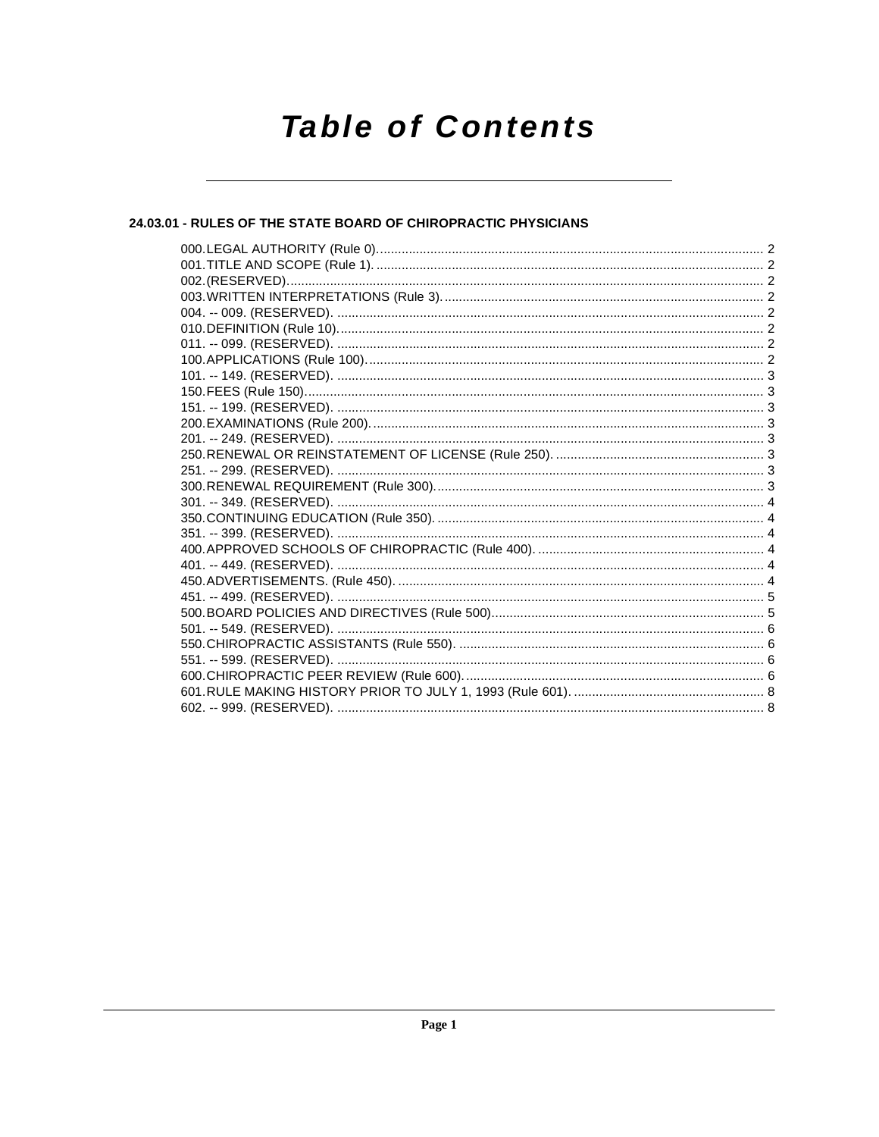# **Table of Contents**

# 24.03.01 - RULES OF THE STATE BOARD OF CHIROPRACTIC PHYSICIANS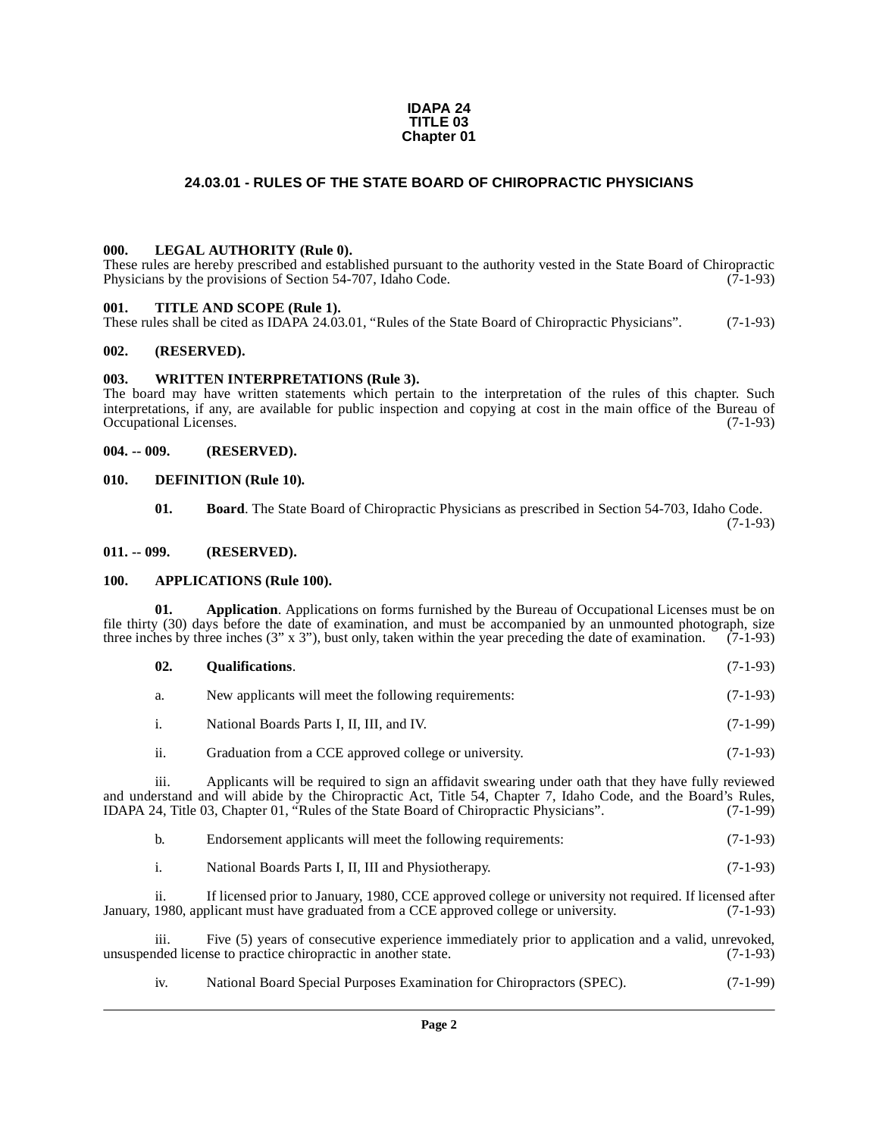#### **IDAPA 24 TITLE 03 Chapter 01**

# **24.03.01 - RULES OF THE STATE BOARD OF CHIROPRACTIC PHYSICIANS**

#### <span id="page-1-1"></span><span id="page-1-0"></span>**000. LEGAL AUTHORITY (Rule 0).**

These rules are hereby prescribed and established pursuant to the authority vested in the State Board of Chiropractic Physicians by the provisions of Section 54-707, Idaho Code. (7-1-93)

#### <span id="page-1-2"></span>**001. TITLE AND SCOPE (Rule 1).**

These rules shall be cited as IDAPA 24.03.01, "Rules of the State Board of Chiropractic Physicians". (7-1-93)

#### <span id="page-1-3"></span>**002. (RESERVED).**

#### <span id="page-1-4"></span>**003. WRITTEN INTERPRETATIONS (Rule 3).**

The board may have written statements which pertain to the interpretation of the rules of this chapter. Such interpretations, if any, are available for public inspection and copying at cost in the main office of the Bureau of Occupational Licenses. (7-1-93)

#### <span id="page-1-5"></span>**004. -- 009. (RESERVED).**

#### <span id="page-1-6"></span>**010. DEFINITION (Rule 10).**

<span id="page-1-10"></span>**01. Board**. The State Board of Chiropractic Physicians as prescribed in Section 54-703, Idaho Code. (7-1-93)

#### <span id="page-1-7"></span>**011. -- 099. (RESERVED).**

#### <span id="page-1-9"></span><span id="page-1-8"></span>**100. APPLICATIONS (Rule 100).**

**01. Application**. Applications on forms furnished by the Bureau of Occupational Licenses must be on file thirty (30) days before the date of examination, and must be accompanied by an unmounted photograph, size three inches by three inches (3" x 3"), bust only, taken within the year preceding the date of examination.  $(7-1-93)$ 

<span id="page-1-11"></span>

| 02. | <b>Oualifications.</b>                               | $(7-1-93)$ |
|-----|------------------------------------------------------|------------|
| а.  | New applicants will meet the following requirements: | $(7-1-93)$ |
|     | National Boards Parts I, II, III, and IV.            | $(7-1-99)$ |

ii. Graduation from a CCE approved college or university. (7-1-93)

iii. Applicants will be required to sign an affidavit swearing under oath that they have fully reviewed and understand and will abide by the Chiropractic Act, Title 54, Chapter 7, Idaho Code, and the Board's Rules, IDAPA 24, Title 03, Chapter 01, "Rules of the State Board of Chiropractic Physicians". (7-1-99)

|  | Endorsement applicants will meet the following requirements: | $(7-1-93)$ |
|--|--------------------------------------------------------------|------------|
|--|--------------------------------------------------------------|------------|

i. National Boards Parts I, II, III and Physiotherapy. (7-1-93)

ii. If licensed prior to January, 1980, CCE approved college or university not required. If licensed after 1980, applicant must have graduated from a CCE approved college or university. (7-1-93) January, 1980, applicant must have graduated from a CCE approved college or university.

iii. Five (5) years of consecutive experience immediately prior to application and a valid, unrevoked, unsuspended license to practice chiropractic in another state. (7-1-93)

iv. National Board Special Purposes Examination for Chiropractors (SPEC). (7-1-99)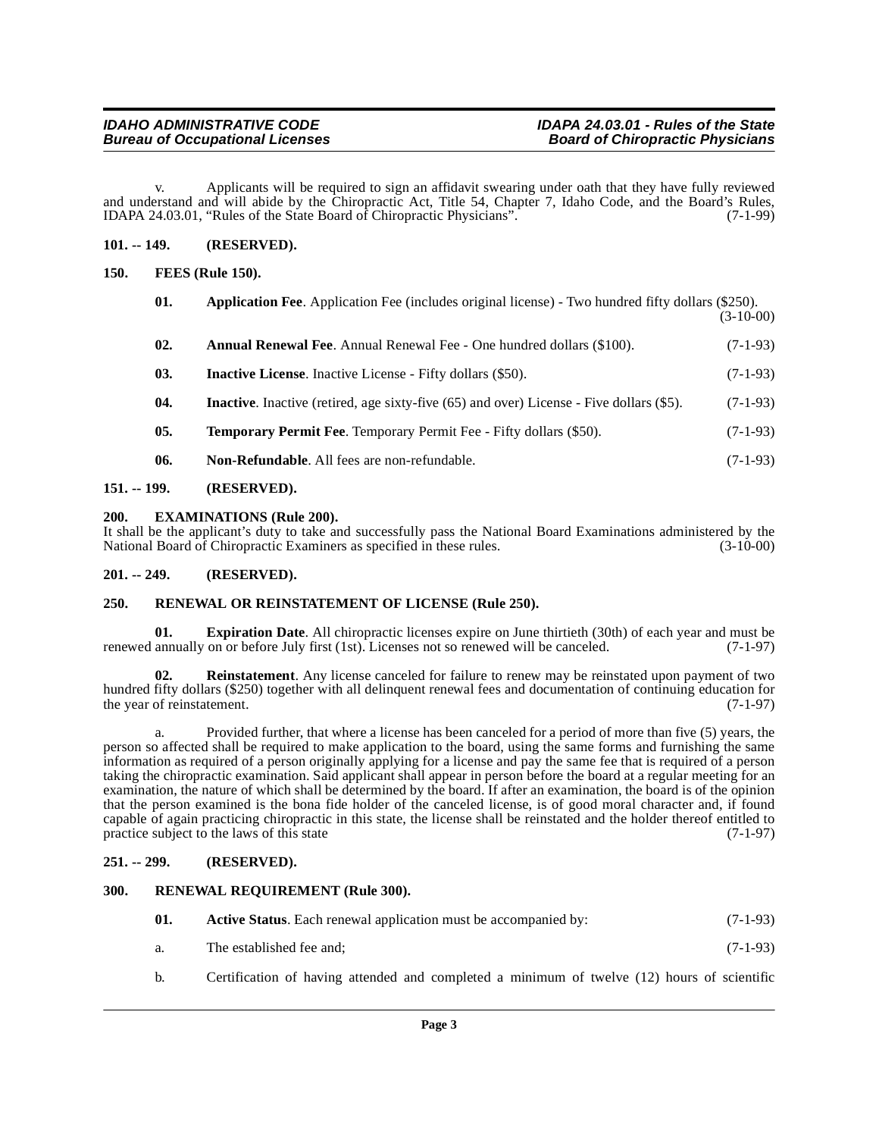# **Bureau of Occupational Licenses**

v. Applicants will be required to sign an affidavit swearing under oath that they have fully reviewed and understand and will abide by the Chiropractic Act, Title 54, Chapter 7, Idaho Code, and the Board's Rules,<br>IDAPA 24.03.01, "Rules of the State Board of Chiropractic Physicians". (7-1-99) IDAPA 24.03.01, "Rules of the State Board of Chiropractic Physicians".

#### <span id="page-2-0"></span>**101. -- 149. (RESERVED).**

#### <span id="page-2-1"></span>**150. FEES (Rule 150).**

<span id="page-2-14"></span><span id="page-2-13"></span><span id="page-2-12"></span><span id="page-2-10"></span><span id="page-2-9"></span>

| 01. | Application Fee. Application Fee (includes original license) - Two hundred fifty dollars (\$250).<br>$(3-10-00)$ |            |  |
|-----|------------------------------------------------------------------------------------------------------------------|------------|--|
| 02. | <b>Annual Renewal Fee.</b> Annual Renewal Fee - One hundred dollars (\$100).                                     | $(7-1-93)$ |  |
| 03. | <b>Inactive License.</b> Inactive License - Fifty dollars (\$50).                                                | $(7-1-93)$ |  |
| 04. | <b>Inactive.</b> Inactive (retired, age sixty-five (65) and over) License - Five dollars (\$5).                  | $(7-1-93)$ |  |
| 05. | <b>Temporary Permit Fee.</b> Temporary Permit Fee - Fifty dollars (\$50).                                        | $(7-1-93)$ |  |
| 06. | <b>Non-Refundable.</b> All fees are non-refundable.                                                              | $(7-1-93)$ |  |
|     |                                                                                                                  |            |  |

#### <span id="page-2-19"></span><span id="page-2-15"></span><span id="page-2-2"></span>**151. -- 199. (RESERVED).**

#### <span id="page-2-3"></span>**200. EXAMINATIONS (Rule 200).**

It shall be the applicant's duty to take and successfully pass the National Board Examinations administered by the National Board of Chiropractic Examiners as specified in these rules. (3-10-00) National Board of Chiropractic Examiners as specified in these rules.

#### <span id="page-2-4"></span>**201. -- 249. (RESERVED).**

#### <span id="page-2-17"></span><span id="page-2-5"></span>**250. RENEWAL OR REINSTATEMENT OF LICENSE (Rule 250).**

<span id="page-2-11"></span>**01. Expiration Date**. All chiropractic licenses expire on June thirtieth (30th) of each year and must be renewed annually on or before July first (1st). Licenses not so renewed will be canceled. (7-1-97)

<span id="page-2-16"></span>**02. Reinstatement**. Any license canceled for failure to renew may be reinstated upon payment of two hundred fifty dollars (\$250) together with all delinquent renewal fees and documentation of continuing education for the year of reinstatement. (7-1-97)

a. Provided further, that where a license has been canceled for a period of more than five (5) years, the person so affected shall be required to make application to the board, using the same forms and furnishing the same information as required of a person originally applying for a license and pay the same fee that is required of a person taking the chiropractic examination. Said applicant shall appear in person before the board at a regular meeting for an examination, the nature of which shall be determined by the board. If after an examination, the board is of the opinion that the person examined is the bona fide holder of the canceled license, is of good moral character and, if found capable of again practicing chiropractic in this state, the license shall be reinstated and the holder thereof entitled to practice subject to the laws of this state (7-1-97)

### <span id="page-2-6"></span>**251. -- 299. (RESERVED).**

#### <span id="page-2-7"></span>**300. RENEWAL REQUIREMENT (Rule 300).**

<span id="page-2-18"></span><span id="page-2-8"></span>

| 01. | Active Status. Each renewal application must be accompanied by: | $(7-1-93)$ |
|-----|-----------------------------------------------------------------|------------|
|     |                                                                 |            |

- a. The established fee and; (7-1-93)
- b. Certification of having attended and completed a minimum of twelve (12) hours of scientific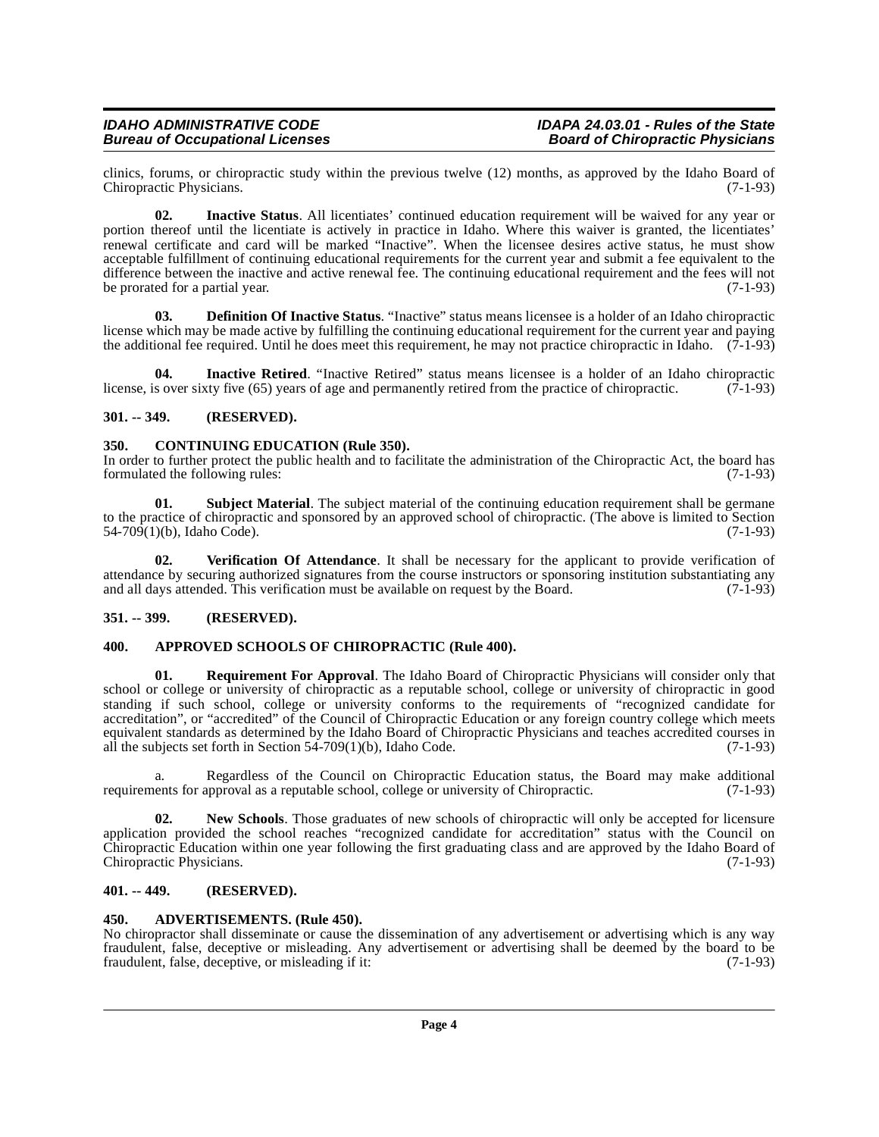# **Bureau of Occupational Licenses**

clinics, forums, or chiropractic study within the previous twelve (12) months, as approved by the Idaho Board of Chiropractic Physicians. (7-1-93) Chiropractic Physicians.

<span id="page-3-11"></span>**02. Inactive Status**. All licentiates' continued education requirement will be waived for any year or portion thereof until the licentiate is actively in practice in Idaho. Where this waiver is granted, the licentiates' renewal certificate and card will be marked "Inactive". When the licensee desires active status, he must show acceptable fulfillment of continuing educational requirements for the current year and submit a fee equivalent to the difference between the inactive and active renewal fee. The continuing educational requirement and the fees will not be prorated for a partial year. (7-1-93)

<span id="page-3-9"></span>**03. Definition Of Inactive Status**. "Inactive" status means licensee is a holder of an Idaho chiropractic license which may be made active by fulfilling the continuing educational requirement for the current year and paying the additional fee required. Until he does meet this requirement, he may not practice chiropractic in Idaho.  $(7-1-93)$ 

<span id="page-3-10"></span>**04.** Inactive Retired. "Inactive Retired" status means licensee is a holder of an Idaho chiropractic sover sixty five (65) years of age and permanently retired from the practice of chiropractic. (7-1-93) license, is over sixty five (65) years of age and permanently retired from the practice of chiropractic.

# <span id="page-3-0"></span>**301. -- 349. (RESERVED).**

### <span id="page-3-8"></span><span id="page-3-1"></span>**350. CONTINUING EDUCATION (Rule 350).**

In order to further protect the public health and to facilitate the administration of the Chiropractic Act, the board has formulated the following rules: (7-1-93) formulated the following rules:

<span id="page-3-14"></span>**01.** Subject Material. The subject material of the continuing education requirement shall be germane to the practice of chiropractic and sponsored by an approved school of chiropractic. (The above is limited to Section 54-709(1)(b), Idaho Code). (7-1-93)  $54-709(1)(b)$ , Idaho Code).

<span id="page-3-15"></span>**02. Verification Of Attendance**. It shall be necessary for the applicant to provide verification of attendance by securing authorized signatures from the course instructors or sponsoring institution substantiating any and all days attended. This verification must be available on request by the Board. (7-1-93) and all days attended. This verification must be available on request by the Board.

#### <span id="page-3-2"></span>**351. -- 399. (RESERVED).**

# <span id="page-3-7"></span><span id="page-3-3"></span>**400. APPROVED SCHOOLS OF CHIROPRACTIC (Rule 400).**

<span id="page-3-13"></span>**01. Requirement For Approval**. The Idaho Board of Chiropractic Physicians will consider only that school or college or university of chiropractic as a reputable school, college or university of chiropractic in good standing if such school, college or university conforms to the requirements of "recognized candidate for accreditation", or "accredited" of the Council of Chiropractic Education or any foreign country college which meets equivalent standards as determined by the Idaho Board of Chiropractic Physicians and teaches accredited courses in all the subjects set forth in Section  $54-709(1)(b)$ , Idaho Code. (7-1-93)

a. Regardless of the Council on Chiropractic Education status, the Board may make additional ents for approval as a reputable school, college or university of Chiropractic. (7-1-93) requirements for approval as a reputable school, college or university of Chiropractic.

<span id="page-3-12"></span>**02. New Schools**. Those graduates of new schools of chiropractic will only be accepted for licensure application provided the school reaches "recognized candidate for accreditation" status with the Council on Chiropractic Education within one year following the first graduating class and are approved by the Idaho Board of Chiropractic Physicians. (7-1-93)

#### <span id="page-3-4"></span>**401. -- 449. (RESERVED).**

#### <span id="page-3-6"></span><span id="page-3-5"></span>**450. ADVERTISEMENTS. (Rule 450).**

No chiropractor shall disseminate or cause the dissemination of any advertisement or advertising which is any way fraudulent, false, deceptive or misleading. Any advertisement or advertising shall be deemed by the board to be fraudulent, false, deceptive, or misleading if it: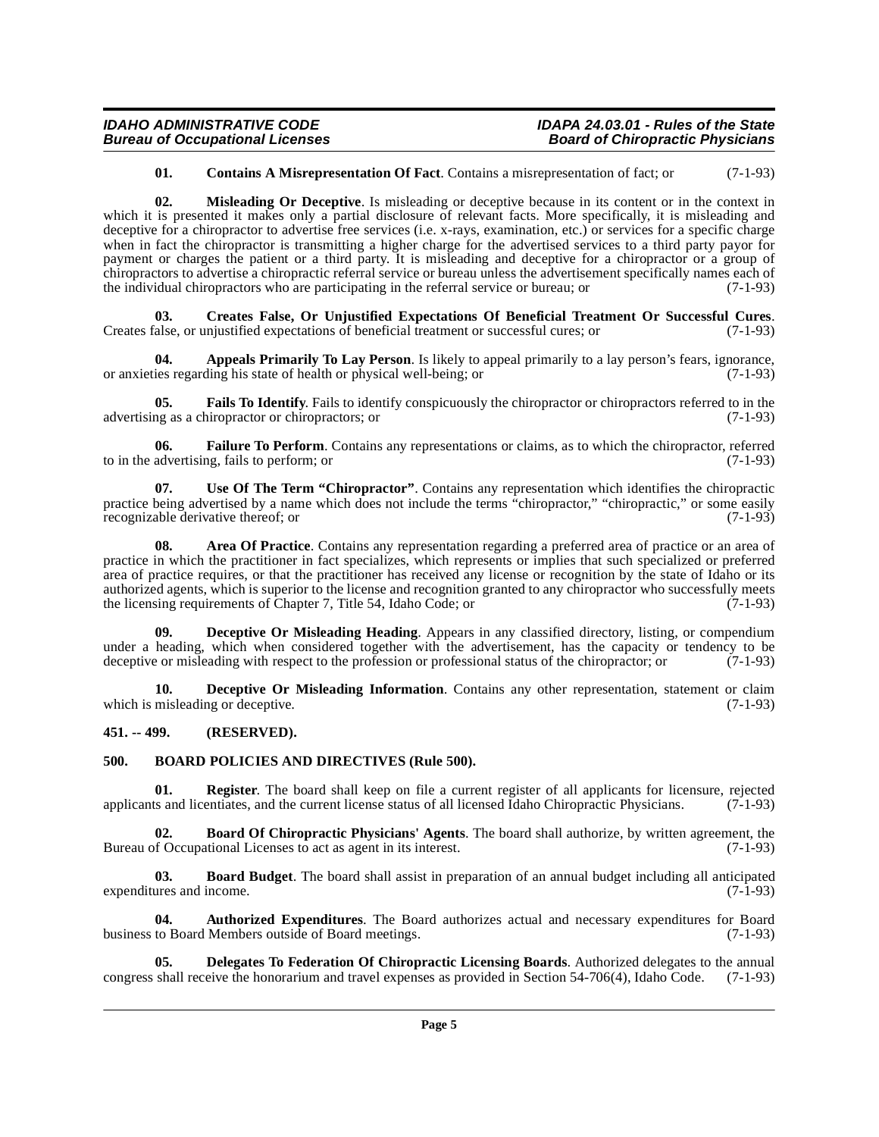### **IDAHO ADMINISTRATIVE CODE IDAPA 24.03.01 - Rules of the State Bureau of Occupational Licenses**

### <span id="page-4-15"></span><span id="page-4-8"></span>**01. Contains A Misrepresentation Of Fact**. Contains a misrepresentation of fact; or (7-1-93)

**02. Misleading Or Deceptive**. Is misleading or deceptive because in its content or in the context in which it is presented it makes only a partial disclosure of relevant facts. More specifically, it is misleading and deceptive for a chiropractor to advertise free services (i.e. x-rays, examination, etc.) or services for a specific charge when in fact the chiropractor is transmitting a higher charge for the advertised services to a third party payor for payment or charges the patient or a third party. It is misleading and deceptive for a chiropractor or a group of chiropractors to advertise a chiropractic referral service or bureau unless the advertisement specifically names each of the individual chiropractors who are participating in the referral service or bureau; or (7-1-93)

<span id="page-4-9"></span>**03.** Creates False, Or Unjustified Expectations Of Beneficial Treatment Or Successful Cures.<br>
Salse, or unjustified expectations of beneficial treatment or successful cures; or (7-1-93) Creates false, or unjustified expectations of beneficial treatment or successful cures; or

<span id="page-4-2"></span>**04. Appeals Primarily To Lay Person**. Is likely to appeal primarily to a lay person's fears, ignorance, or anxieties regarding his state of health or physical well-being; or (7-1-93)

<span id="page-4-13"></span>**05. Fails To Identify**. Fails to identify conspicuously the chiropractor or chiropractors referred to in the ng as a chiropractor or chiropractors; or (7-1-93) advertising as a chiropractor or chiropractors; or

<span id="page-4-14"></span>**06. Failure To Perform**. Contains any representations or claims, as to which the chiropractor, referred advertising, fails to perform; or to in the advertising, fails to perform; or

<span id="page-4-17"></span>**07. Use Of The Term "Chiropractor"**. Contains any representation which identifies the chiropractic practice being advertised by a name which does not include the terms "chiropractor," "chiropractic," or some easily recognizable derivative thereof; or (7-1-93)

<span id="page-4-3"></span>**08. Area Of Practice**. Contains any representation regarding a preferred area of practice or an area of practice in which the practitioner in fact specializes, which represents or implies that such specialized or preferred area of practice requires, or that the practitioner has received any license or recognition by the state of Idaho or its authorized agents, which is superior to the license and recognition granted to any chiropractor who successfully meets the licensing requirements of Chapter 7, Title 54, Idaho Code; or  $(7-1-93)$ the licensing requirements of Chapter 7, Title 54, Idaho Code; or

<span id="page-4-10"></span>**Deceptive Or Misleading Heading**. Appears in any classified directory, listing, or compendium under a heading, which when considered together with the advertisement, has the capacity or tendency to be deceptive or misleading with respect to the profession or professional status of the chiropractor; or (7-1-93) deceptive or misleading with respect to the profession or professional status of the chiropractor; or

<span id="page-4-11"></span>**10. Deceptive Or Misleading Information**. Contains any other representation, statement or claim which is misleading or deceptive. (7-1-93)

### <span id="page-4-0"></span>**451. -- 499. (RESERVED).**

# <span id="page-4-7"></span><span id="page-4-1"></span>**500. BOARD POLICIES AND DIRECTIVES (Rule 500).**

<span id="page-4-16"></span>**01. Register**. The board shall keep on file a current register of all applicants for licensure, rejected ts and licentiates, and the current license status of all licensed Idaho Chiropractic Physicians. (7-1-93) applicants and licentiates, and the current license status of all licensed Idaho Chiropractic Physicians.

<span id="page-4-6"></span>**02. Board Of Chiropractic Physicians' Agents**. The board shall authorize, by written agreement, the Bureau of Occupational Licenses to act as agent in its interest. (7-1-93)

<span id="page-4-5"></span>**03. Board Budget**. The board shall assist in preparation of an annual budget including all anticipated ures and income. (7-1-93) expenditures and income.

<span id="page-4-4"></span>**04.** Authorized Expenditures. The Board authorizes actual and necessary expenditures for Board to Board Members outside of Board meetings. (7-1-93) business to Board Members outside of Board meetings.

<span id="page-4-12"></span>**Delegates To Federation Of Chiropractic Licensing Boards**. Authorized delegates to the annual eive the honorarium and travel expenses as provided in Section 54-706(4), Idaho Code. (7-1-93) congress shall receive the honorarium and travel expenses as provided in Section  $54-706(4)$ , Idaho Code.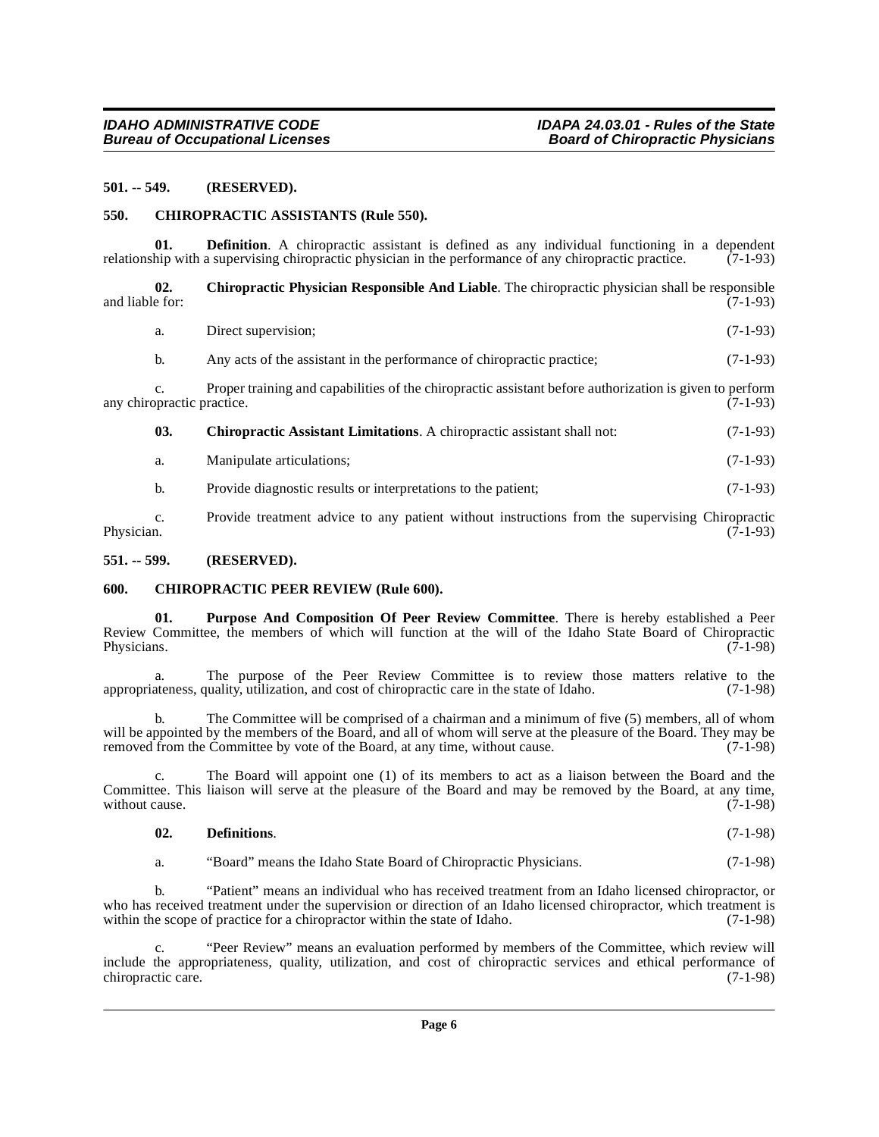#### <span id="page-5-0"></span>**501. -- 549. (RESERVED).**

#### <span id="page-5-5"></span><span id="page-5-1"></span>**550. CHIROPRACTIC ASSISTANTS (Rule 550).**

**01. Definition**. A chiropractic assistant is defined as any individual functioning in a dependent hip with a supervising chiropractic physician in the performance of any chiropractic practice. (7-1-93) relationship with a supervising chiropractic physician in the performance of any chiropractic practice.

**02. Chiropractic Physician Responsible And Liable**. The chiropractic physician shall be responsible and liable for:  $(7-1-93)$ 

<span id="page-5-7"></span>

| a. | Direct supervision; |  | $(7-1-93)$ |  |  |  |
|----|---------------------|--|------------|--|--|--|
|----|---------------------|--|------------|--|--|--|

b. Any acts of the assistant in the performance of chiropractic practice; (7-1-93)

c. Proper training and capabilities of the chiropractic assistant before authorization is given to perform any chiropractic practice.

<span id="page-5-4"></span>**03.** Chiropractic Assistant Limitations. A chiropractic assistant shall not: (7-1-93)

a. Manipulate articulations; (7-1-93)

b. Provide diagnostic results or interpretations to the patient; (7-1-93)

c. Provide treatment advice to any patient without instructions from the supervising Chiropractic Physician. (7-1-93) Physician. (7-1-93)

#### <span id="page-5-2"></span>**551. -- 599. (RESERVED).**

#### <span id="page-5-6"></span><span id="page-5-3"></span>**600. CHIROPRACTIC PEER REVIEW (Rule 600).**

<span id="page-5-8"></span>**01. Purpose And Composition Of Peer Review Committee**. There is hereby established a Peer Review Committee, the members of which will function at the will of the Idaho State Board of Chiropractic Physicians. (7-1-98)

a. The purpose of the Peer Review Committee is to review those matters relative to the ateness, quality, utilization, and cost of chiropractic care in the state of Idaho. (7-1-98) appropriateness, quality, utilization, and cost of chiropractic care in the state of Idaho.

b. The Committee will be comprised of a chairman and a minimum of five (5) members, all of whom will be appointed by the members of the Board, and all of whom will serve at the pleasure of the Board. They may be removed from the Committee by vote of the Board, at any time, without cause. (7-1-98)

c. The Board will appoint one (1) of its members to act as a liaison between the Board and the Committee. This liaison will serve at the pleasure of the Board and may be removed by the Board, at any time, without cause.  $(7-1-98)$ without cause.

#### **02. Definitions**. (7-1-98)

a. "Board" means the Idaho State Board of Chiropractic Physicians. (7-1-98)

b. "Patient" means an individual who has received treatment from an Idaho licensed chiropractor, or who has received treatment under the supervision or direction of an Idaho licensed chiropractor, which treatment is within the scope of practice for a chiropractor within the state of Idaho. (7-1-98)

c. "Peer Review" means an evaluation performed by members of the Committee, which review will include the appropriateness, quality, utilization, and cost of chiropractic services and ethical performance of chiropractic care. (7-1-98) chiropractic care.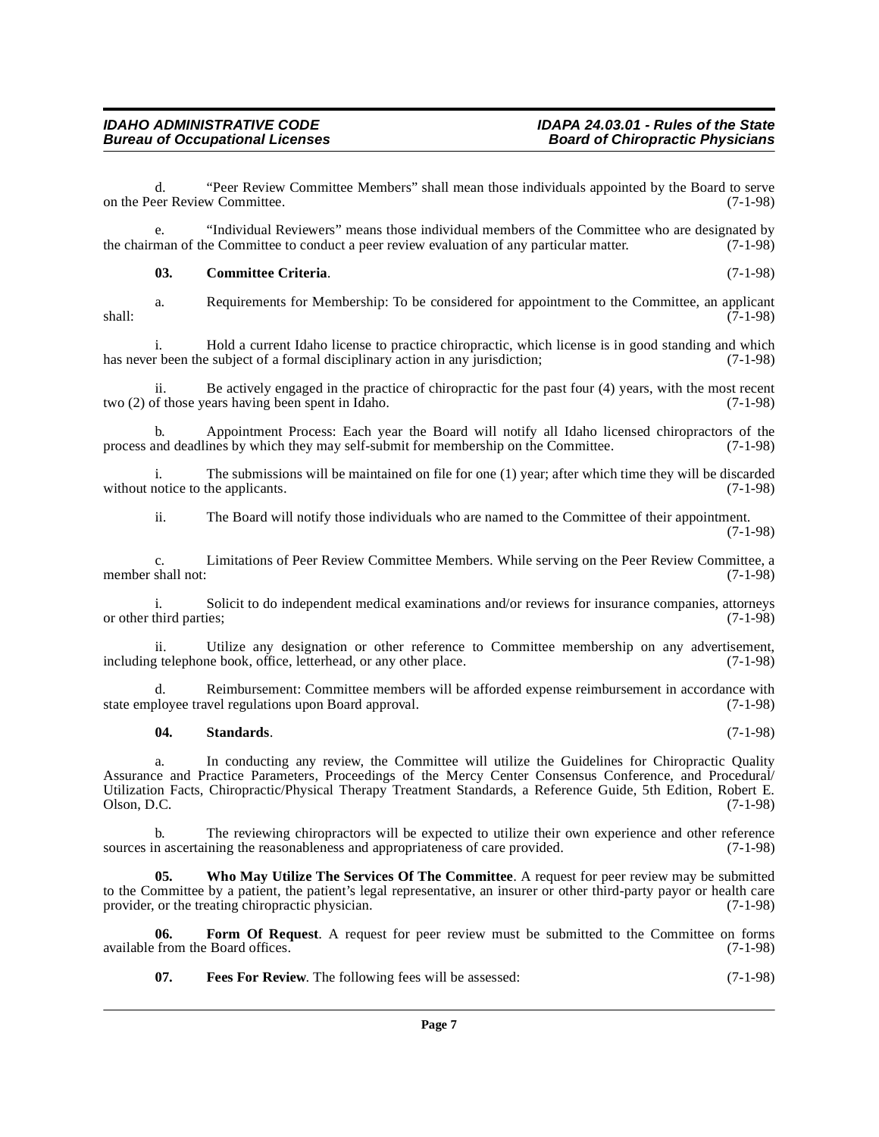d. "Peer Review Committee Members" shall mean those individuals appointed by the Board to serve<br>eer Review Committee. (7-1-98) on the Peer Review Committee.

e. "Individual Reviewers" means those individual members of the Committee who are designated by the chairman of the Committee to conduct a peer review evaluation of any particular matter. (7-1-98)

# <span id="page-6-0"></span>**03. Committee Criteria**. (7-1-98)

a. Requirements for Membership: To be considered for appointment to the Committee, an applicant shall: (7-1-98)

i. Hold a current Idaho license to practice chiropractic, which license is in good standing and which has never been the subject of a formal disciplinary action in any jurisdiction; (7-1-98)

ii. Be actively engaged in the practice of chiropractic for the past four  $(4)$  years, with the most recent of those years having been spent in Idaho.  $(7-1-98)$ two  $(2)$  of those years having been spent in Idaho.

b. Appointment Process: Each year the Board will notify all Idaho licensed chiropractors of the process and deadlines by which they may self-submit for membership on the Committee. (7-1-98)

i. The submissions will be maintained on file for one (1) year; after which time they will be discarded notice to the applicants. (7-1-98) without notice to the applicants.

ii. The Board will notify those individuals who are named to the Committee of their appointment. (7-1-98)

c. Limitations of Peer Review Committee Members. While serving on the Peer Review Committee, a member shall not:

i. Solicit to do independent medical examinations and/or reviews for insurance companies, attorneys or other third parties; (7-1-98)

ii. Utilize any designation or other reference to Committee membership on any advertisement, telephone book, office, letterhead, or any other place. (7-1-98) including telephone book, office, letterhead, or any other place.

Reimbursement: Committee members will be afforded expense reimbursement in accordance with state employee travel regulations upon Board approval. (7-1-98)

#### <span id="page-6-3"></span>**04. Standards**. (7-1-98)

a. In conducting any review, the Committee will utilize the Guidelines for Chiropractic Quality Assurance and Practice Parameters, Proceedings of the Mercy Center Consensus Conference, and Procedural/ Utilization Facts, Chiropractic/Physical Therapy Treatment Standards, a Reference Guide, 5th Edition, Robert E.  $Olson, D.C.$  (7-1-98)

b. The reviewing chiropractors will be expected to utilize their own experience and other reference sources in ascertaining the reasonableness and appropriateness of care provided. (7-1-98)

<span id="page-6-4"></span>**05. Who May Utilize The Services Of The Committee**. A request for peer review may be submitted to the Committee by a patient, the patient's legal representative, an insurer or other third-party payor or health care provider, or the treating chiropractic physician. (7-1-98)

**06. Form Of Request**. A request for peer review must be submitted to the Committee on forms from the Board offices. (7-1-98) available from the Board offices.

<span id="page-6-2"></span><span id="page-6-1"></span>**07. Fees For Review**. The following fees will be assessed: (7-1-98)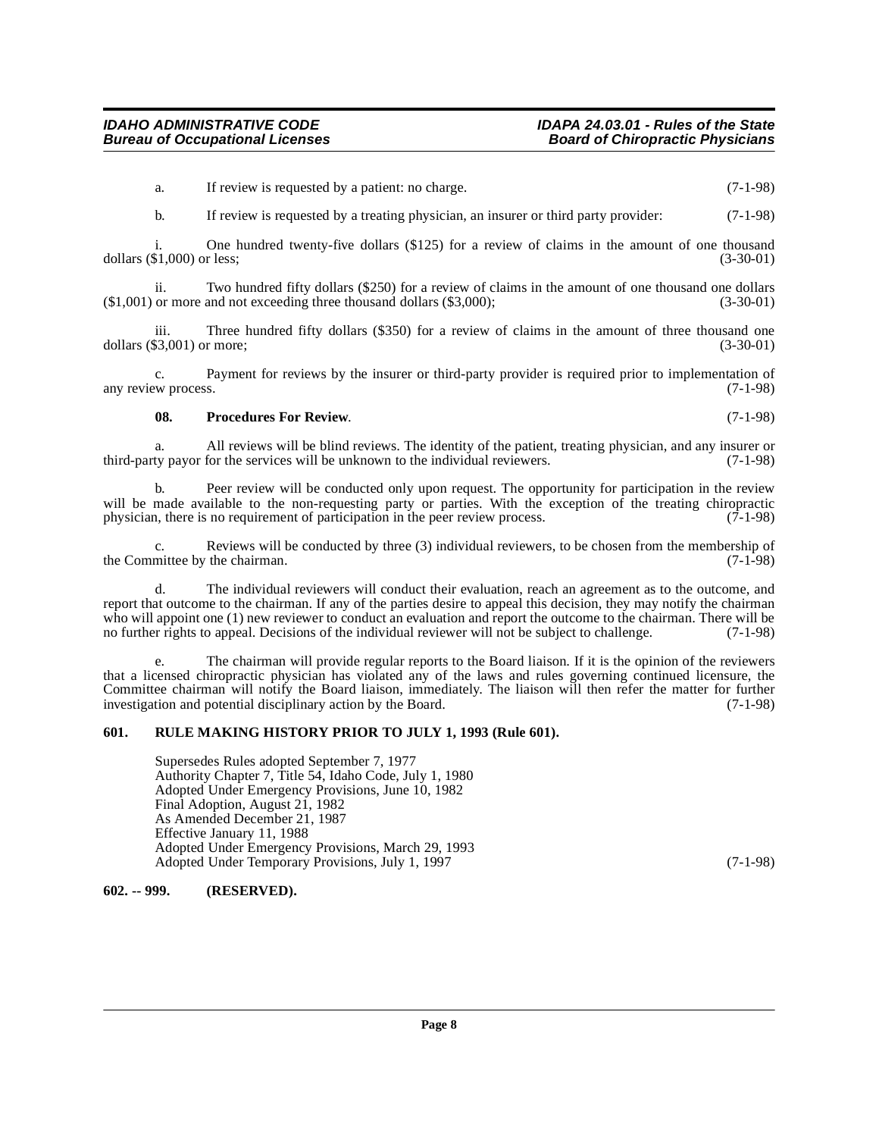a. If review is requested by a patient: no charge. (7-1-98)

b. If review is requested by a treating physician, an insurer or third party provider: (7-1-98)

One hundred twenty-five dollars  $(\$125)$  for a review of claims in the amount of one thousand r less;  $(3-30-01)$ dollars  $(\$1,000)$  or less;

ii. Two hundred fifty dollars (\$250) for a review of claims in the amount of one thousand one dollars  $(1,001)$  or more and not exceeding three thousand dollars  $(3,000)$ ; (3-30-01)

iii. Three hundred fifty dollars (\$350) for a review of claims in the amount of three thousand one  $(3-30-01)$ dollars  $(\$3,001)$  or more;

c. Payment for reviews by the insurer or third-party provider is required prior to implementation of any review process. (7-1-98)

#### <span id="page-7-2"></span>**08. Procedures For Review**. (7-1-98)

a. All reviews will be blind reviews. The identity of the patient, treating physician, and any insurer or ty payor for the services will be unknown to the individual reviewers. (7-1-98) third-party payor for the services will be unknown to the individual reviewers.

b. Peer review will be conducted only upon request. The opportunity for participation in the review will be made available to the non-requesting party or parties. With the exception of the treating chiropractic physician, there is no requirement of participation in the peer review process. (7-1-98)

c. Reviews will be conducted by three (3) individual reviewers, to be chosen from the membership of mittee by the chairman. (7-1-98) the Committee by the chairman.

d. The individual reviewers will conduct their evaluation, reach an agreement as to the outcome, and report that outcome to the chairman. If any of the parties desire to appeal this decision, they may notify the chairman who will appoint one (1) new reviewer to conduct an evaluation and report the outcome to the chairman. There will be no further rights to appeal. Decisions of the individual reviewer will not be subject to challenge. (7-1-98)

e. The chairman will provide regular reports to the Board liaison. If it is the opinion of the reviewers that a licensed chiropractic physician has violated any of the laws and rules governing continued licensure, the Committee chairman will notify the Board liaison, immediately. The liaison will then refer the matter for further investigation and potential disciplinary action by the Board. (7-1-98)

# <span id="page-7-0"></span>**601. RULE MAKING HISTORY PRIOR TO JULY 1, 1993 (Rule 601).**

Supersedes Rules adopted September 7, 1977 Authority Chapter 7, Title 54, Idaho Code, July 1, 1980 Adopted Under Emergency Provisions, June 10, 1982 Final Adoption, August 21, 1982 As Amended December 21, 1987 Effective January 11, 1988 Adopted Under Emergency Provisions, March 29, 1993 Adopted Under Temporary Provisions, July 1, 1997 (7-1-98)

#### <span id="page-7-1"></span>**602. -- 999. (RESERVED).**